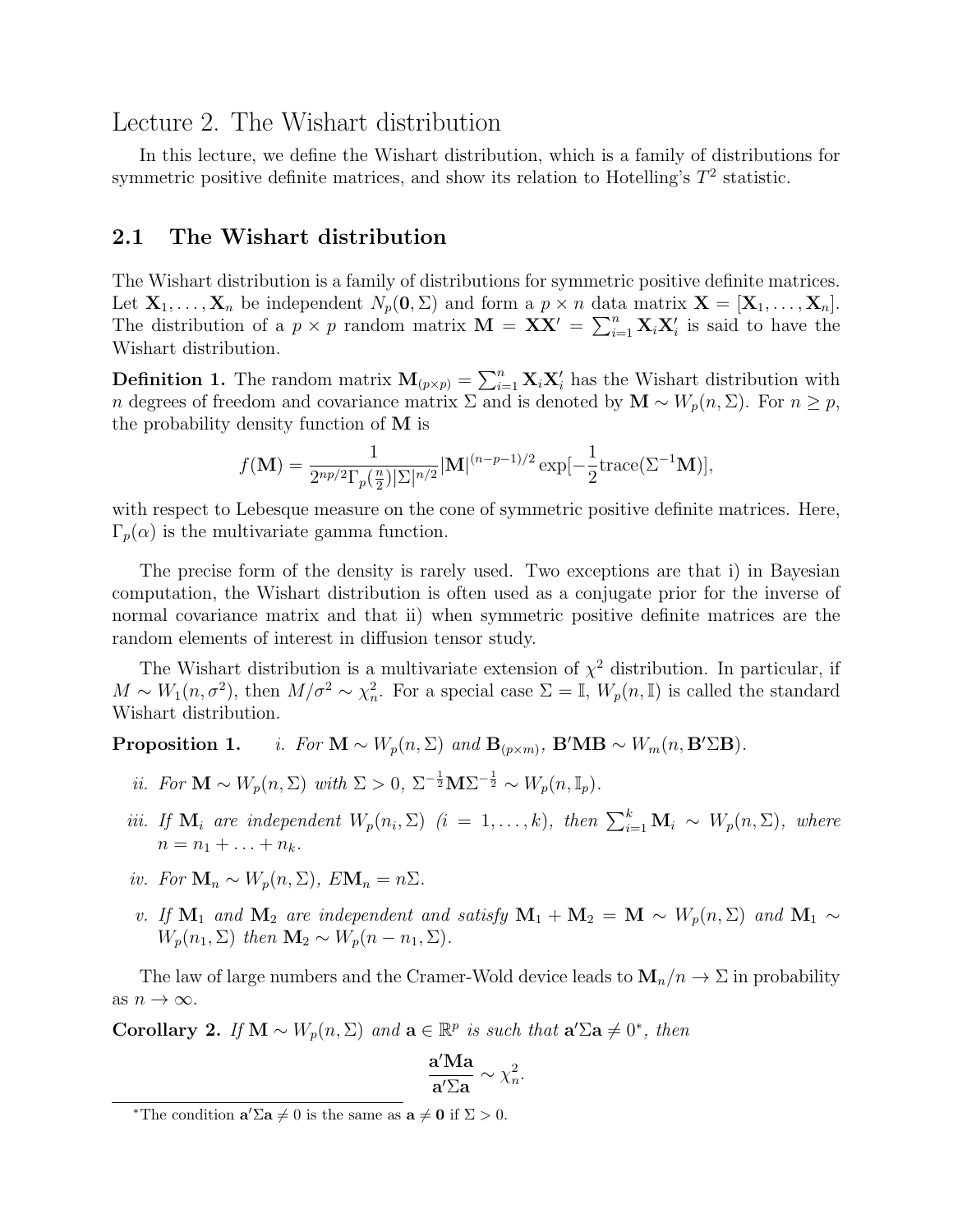## Lecture 2. The Wishart distribution

In this lecture, we define the Wishart distribution, which is a family of distributions for symmetric positive definite matrices, and show its relation to Hotelling's  $T^2$  statistic.

## 2.1 The Wishart distribution

The Wishart distribution is a family of distributions for symmetric positive definite matrices. Let  $X_1, \ldots, X_n$  be independent  $N_p(0, \Sigma)$  and form a  $p \times n$  data matrix  $\mathbf{X} = [\mathbf{X}_1, \ldots, \mathbf{X}_n].$ The distribution of a  $p \times p$  random matrix  $\mathbf{M} = \mathbf{X} \mathbf{X}' = \sum_{i=1}^{n} \mathbf{X}_i \mathbf{X}'_i$  is said to have the Wishart distribution.

**Definition 1.** The random matrix  $\mathbf{M}_{(p \times p)} = \sum_{i=1}^{n} \mathbf{X}_i \mathbf{X}'_i$  has the Wishart distribution with n degrees of freedom and covariance matrix  $\Sigma$  and is denoted by  $\mathbf{M} \sim W_p(n, \Sigma)$ . For  $n \geq p$ , the probability density function of M is

$$
f(\mathbf{M}) = \frac{1}{2^{np/2} \Gamma_p(\frac{n}{2}) |\Sigma|^{n/2}} |\mathbf{M}|^{(n-p-1)/2} \exp[-\frac{1}{2} \text{trace}(\Sigma^{-1} \mathbf{M})],
$$

with respect to Lebesque measure on the cone of symmetric positive definite matrices. Here,  $\Gamma_p(\alpha)$  is the multivariate gamma function.

The precise form of the density is rarely used. Two exceptions are that i) in Bayesian computation, the Wishart distribution is often used as a conjugate prior for the inverse of normal covariance matrix and that ii) when symmetric positive definite matrices are the random elements of interest in diffusion tensor study.

The Wishart distribution is a multivariate extension of  $\chi^2$  distribution. In particular, if  $M \sim W_1(n, \sigma^2)$ , then  $M/\sigma^2 \sim \chi^2_n$ . For a special case  $\Sigma = \mathbb{I}, W_p(n, \mathbb{I})$  is called the standard Wishart distribution.

**Proposition 1.** *i.* For  $\mathbf{M} \sim W_p(n, \Sigma)$  and  $\mathbf{B}_{(p \times m)}$ ,  $\mathbf{B}'\mathbf{M}\mathbf{B} \sim W_m(n, \mathbf{B}'\Sigma\mathbf{B})$ .

- *ii.* For  $\mathbf{M} \sim W_p(n, \Sigma)$  with  $\Sigma > 0$ ,  $\Sigma^{-\frac{1}{2}} \mathbf{M} \Sigma^{-\frac{1}{2}} \sim W_p(n, \mathbb{I}_p)$ .
- iii. If  $\mathbf{M}_i$  are independent  $W_p(n_i, \Sigma)$   $(i = 1, ..., k)$ , then  $\sum_{i=1}^k \mathbf{M}_i \sim W_p(n, \Sigma)$ , where  $n = n_1 + \ldots + n_k$ .
- iv. For  $\mathbf{M}_n \sim W_p(n, \Sigma)$ ,  $E \mathbf{M}_n = n \Sigma$ .
- v. If  $M_1$  and  $M_2$  are independent and satisfy  $M_1 + M_2 = M \sim W_p(n, \Sigma)$  and  $M_1 \sim$  $W_p(n_1, \Sigma)$  then  $\mathbf{M}_2 \sim W_p(n - n_1, \Sigma)$ .

The law of large numbers and the Cramer-Wold device leads to  $M_n/n \to \Sigma$  in probability as  $n \to \infty$ .

Corollary 2. If  $\mathbf{M} \sim W_p(n, \Sigma)$  and  $\mathbf{a} \in \mathbb{R}^p$  is such that  $\mathbf{a}'\Sigma \mathbf{a} \neq 0^*$ , then

$$
\frac{\mathbf{a}'\mathbf{M}\mathbf{a}}{\mathbf{a}'\boldsymbol{\Sigma}\mathbf{a}} \sim \chi_n^2.
$$

<sup>\*</sup>The condition  $\mathbf{a}'\Sigma \mathbf{a} \neq 0$  is the same as  $\mathbf{a} \neq \mathbf{0}$  if  $\Sigma > 0$ .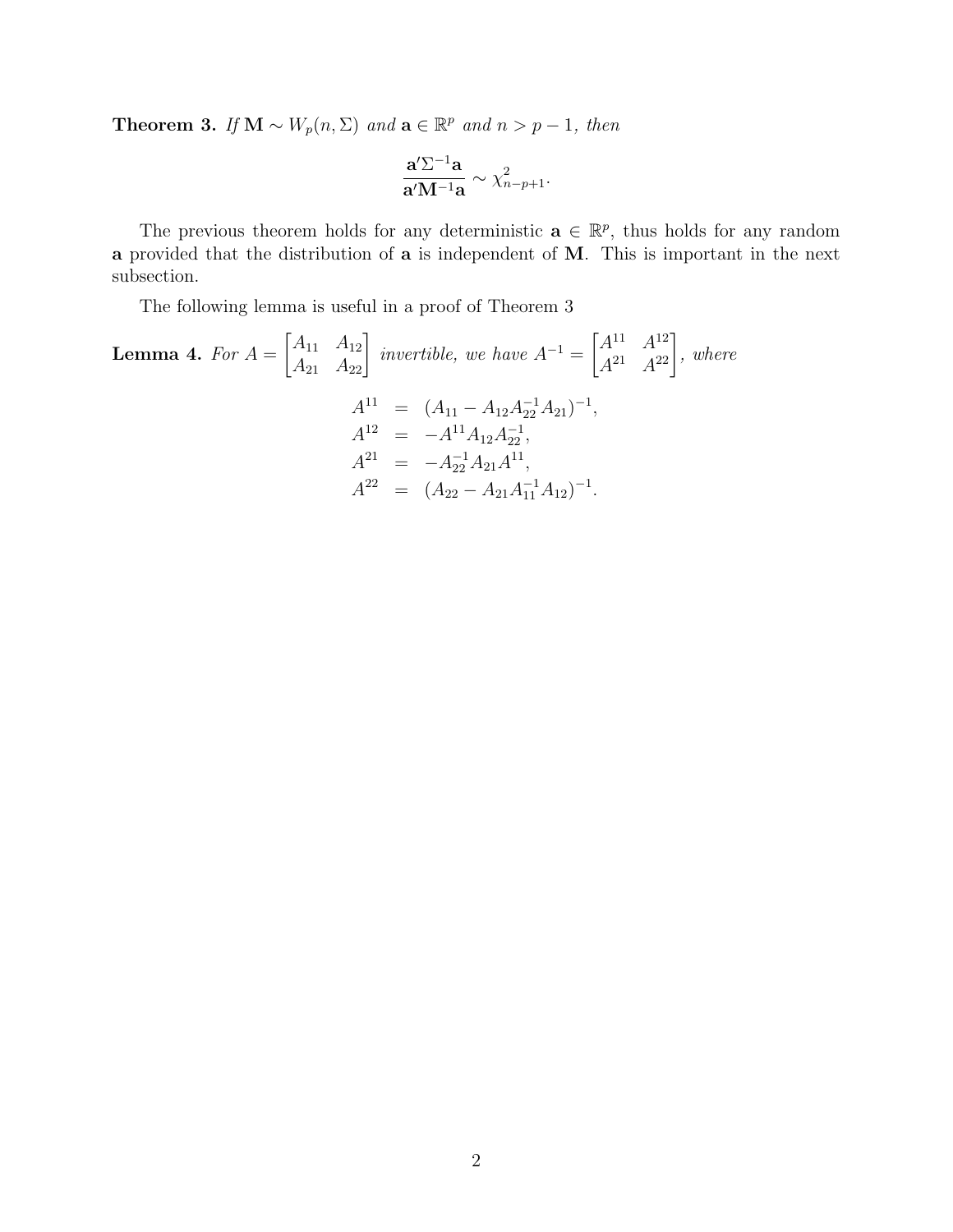**Theorem 3.** If  $\mathbf{M} \sim W_p(n, \Sigma)$  and  $\mathbf{a} \in \mathbb{R}^p$  and  $n > p - 1$ , then

$$
\frac{\mathbf{a}^{\prime}\Sigma^{-1}\mathbf{a}}{\mathbf{a}^{\prime}\mathbf{M}^{-1}\mathbf{a}} \sim \chi^2_{n-p+1}.
$$

The previous theorem holds for any deterministic  $\mathbf{a} \in \mathbb{R}^p$ , thus holds for any random a provided that the distribution of a is independent of M. This is important in the next subsection.

The following lemma is useful in a proof of Theorem 3

**Lemma 4.** For 
$$
A = \begin{bmatrix} A_{11} & A_{12} \ A_{21} & A_{22} \end{bmatrix}
$$
 invertible, we have  $A^{-1} = \begin{bmatrix} A^{11} & A^{12} \ A^{21} & A^{22} \end{bmatrix}$ , where  
\n
$$
A^{11} = (A_{11} - A_{12}A_{22}^{-1}A_{21})^{-1},
$$
\n
$$
A^{12} = -A^{11}A_{12}A_{22}^{-1},
$$
\n
$$
A^{21} = -A_{22}^{-1}A_{21}A^{11},
$$
\n
$$
A^{22} = (A_{22} - A_{21}A_{11}^{-1}A_{12})^{-1}.
$$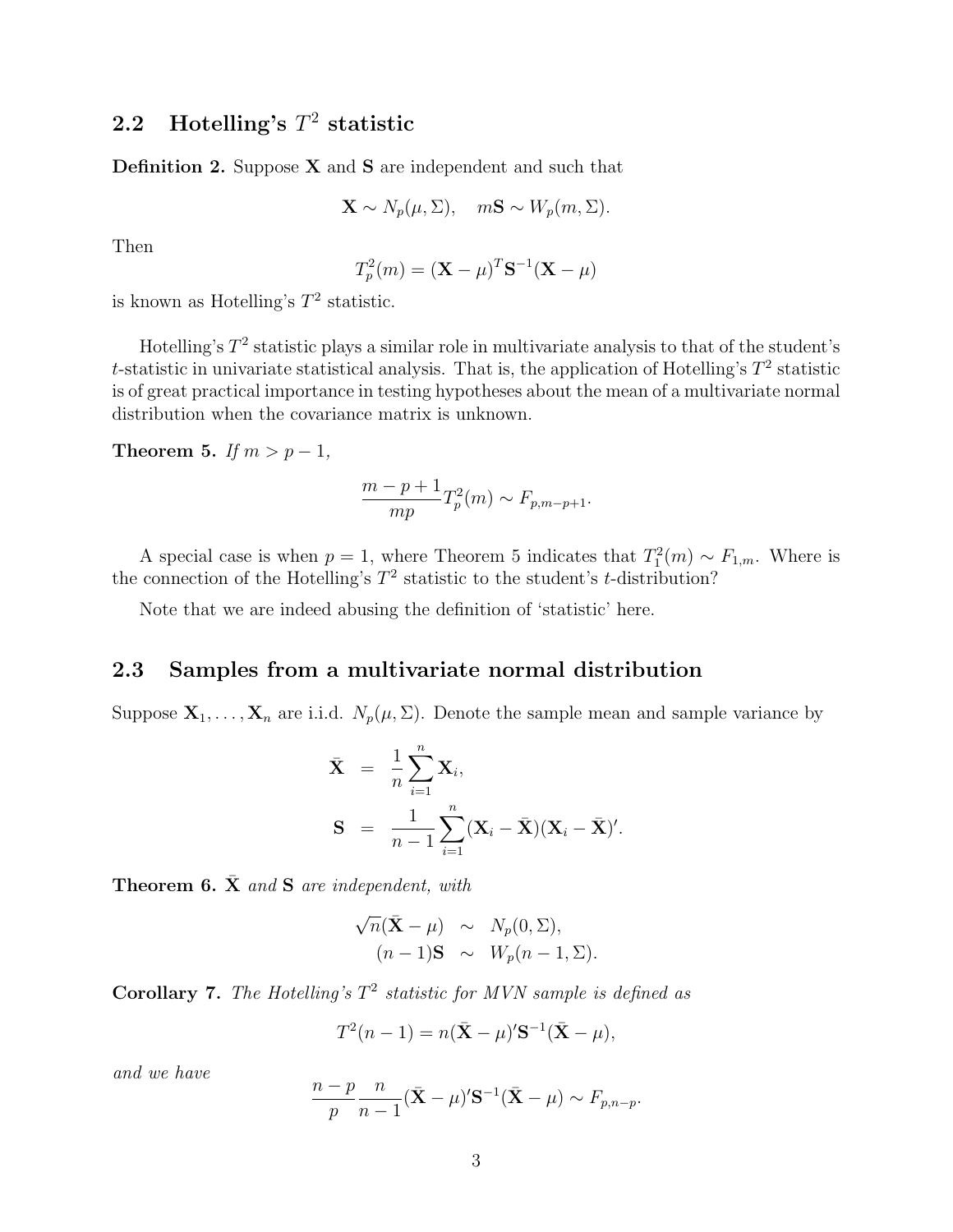## 2.2 Hotelling's  $T^2$  statistic

**Definition 2.** Suppose  $X$  and  $S$  are independent and such that

$$
\mathbf{X} \sim N_p(\mu, \Sigma), \quad m\mathbf{S} \sim W_p(m, \Sigma).
$$

Then

$$
T_p^2(m) = (\mathbf{X} - \mu)^T \mathbf{S}^{-1} (\mathbf{X} - \mu)
$$

is known as Hotelling's  $T^2$  statistic.

Hotelling's  $T^2$  statistic plays a similar role in multivariate analysis to that of the student's t-statistic in univariate statistical analysis. That is, the application of Hotelling's  $T^2$  statistic is of great practical importance in testing hypotheses about the mean of a multivariate normal distribution when the covariance matrix is unknown.

Theorem 5. If  $m > p - 1$ ,

$$
\frac{m-p+1}{mp}T_p^2(m) \sim F_{p,m-p+1}.
$$

A special case is when  $p = 1$ , where Theorem 5 indicates that  $T_1^2(m) \sim F_{1,m}$ . Where is the connection of the Hotelling's  $T^2$  statistic to the student's *t*-distribution?

Note that we are indeed abusing the definition of 'statistic' here.

## 2.3 Samples from a multivariate normal distribution

Suppose  $\mathbf{X}_1, \ldots, \mathbf{X}_n$  are i.i.d.  $N_p(\mu, \Sigma)$ . Denote the sample mean and sample variance by

$$
\bar{\mathbf{X}} = \frac{1}{n} \sum_{i=1}^{n} \mathbf{X}_i,
$$
  
\n
$$
\mathbf{S} = \frac{1}{n-1} \sum_{i=1}^{n} (\mathbf{X}_i - \bar{\mathbf{X}}) (\mathbf{X}_i - \bar{\mathbf{X}})'
$$

**Theorem 6.**  $\bar{\mathbf{X}}$  and  $\mathbf{S}$  are independent, with

$$
\sqrt{n}(\bar{\mathbf{X}} - \mu) \sim N_p(0, \Sigma),
$$
  
(n-1)**S**  $\sim W_p(n-1, \Sigma).$ 

Corollary 7. The Hotelling's  $T^2$  statistic for MVN sample is defined as

$$
T^2(n-1) = n(\bar{\mathbf{X}} - \mu)'\mathbf{S}^{-1}(\bar{\mathbf{X}} - \mu),
$$

and we have

$$
\frac{n-p}{p}\frac{n}{n-1}(\bar{\mathbf{X}}-\mu)^{\prime}\mathbf{S}^{-1}(\bar{\mathbf{X}}-\mu)\sim F_{p,n-p}.
$$